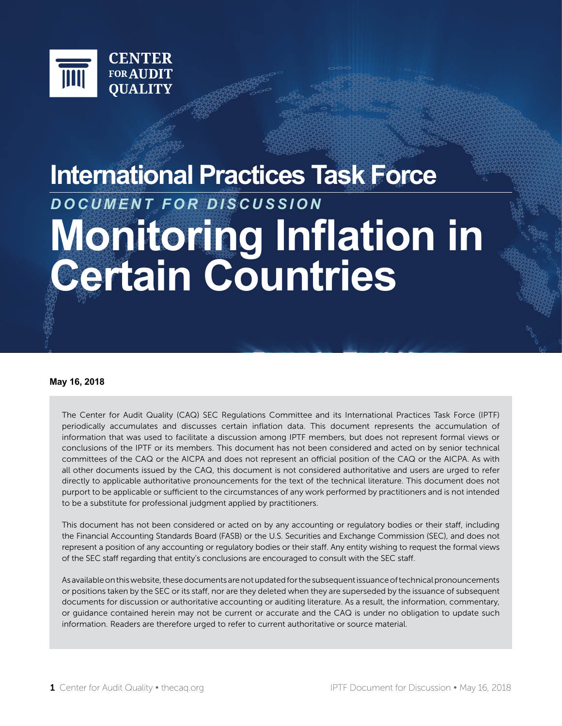

# **International Practices Task Force Monitoring Inflation in Certain Countries** *DOCUMENT FOR DISCUSSION*

#### **May 16, 2018**

The Center for Audit Quality (CAQ) SEC Regulations Committee and its International Practices Task Force (IPTF) periodically accumulates and discusses certain inflation data. This document represents the accumulation of information that was used to facilitate a discussion among IPTF members, but does not represent formal views or conclusions of the IPTF or its members. This document has not been considered and acted on by senior technical committees of the CAQ or the AICPA and does not represent an official position of the CAQ or the AICPA. As with all other documents issued by the CAQ, this document is not considered authoritative and users are urged to refer directly to applicable authoritative pronouncements for the text of the technical literature. This document does not purport to be applicable or sufficient to the circumstances of any work performed by practitioners and is not intended to be a substitute for professional judgment applied by practitioners.

This document has not been considered or acted on by any accounting or regulatory bodies or their staff, including the Financial Accounting Standards Board (FASB) or the U.S. Securities and Exchange Commission (SEC), and does not represent a position of any accounting or regulatory bodies or their staff. Any entity wishing to request the formal views of the SEC staff regarding that entity's conclusions are encouraged to consult with the SEC staff.

As available on this website, these documents are not updated for the subsequent issuance of technical pronouncements or positions taken by the SEC or its staff, nor are they deleted when they are superseded by the issuance of subsequent documents for discussion or authoritative accounting or auditing literature. As a result, the information, commentary, or guidance contained herein may not be current or accurate and the CAQ is under no obligation to update such information. Readers are therefore urged to refer to current authoritative or source material.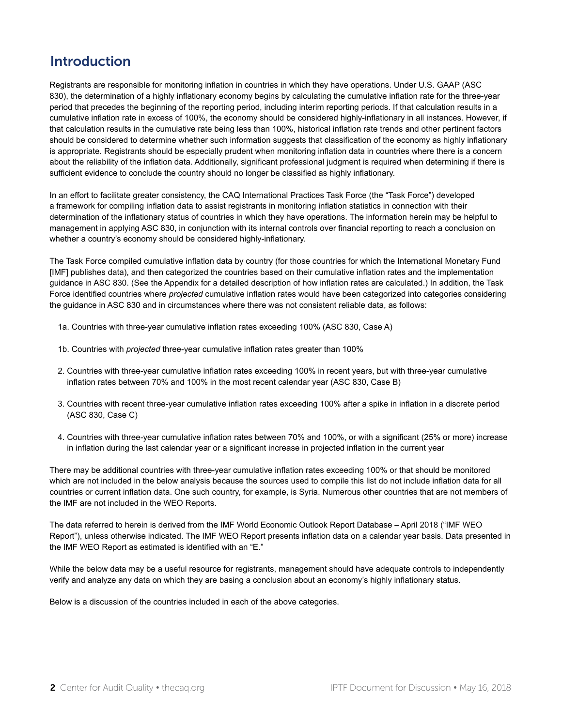## Introduction

Registrants are responsible for monitoring inflation in countries in which they have operations. Under U.S. GAAP (ASC 830), the determination of a highly inflationary economy begins by calculating the cumulative inflation rate for the three-year period that precedes the beginning of the reporting period, including interim reporting periods. If that calculation results in a cumulative inflation rate in excess of 100%, the economy should be considered highly-inflationary in all instances. However, if that calculation results in the cumulative rate being less than 100%, historical inflation rate trends and other pertinent factors should be considered to determine whether such information suggests that classification of the economy as highly inflationary is appropriate. Registrants should be especially prudent when monitoring inflation data in countries where there is a concern about the reliability of the inflation data. Additionally, significant professional judgment is required when determining if there is sufficient evidence to conclude the country should no longer be classified as highly inflationary.

In an effort to facilitate greater consistency, the CAQ International Practices Task Force (the "Task Force") developed a framework for compiling inflation data to assist registrants in monitoring inflation statistics in connection with their determination of the inflationary status of countries in which they have operations. The information herein may be helpful to management in applying ASC 830, in conjunction with its internal controls over financial reporting to reach a conclusion on whether a country's economy should be considered highly-inflationary.

The Task Force compiled cumulative inflation data by country (for those countries for which the International Monetary Fund [IMF] publishes data), and then categorized the countries based on their cumulative inflation rates and the implementation guidance in ASC 830. (See the Appendix for a detailed description of how inflation rates are calculated.) In addition, the Task Force identified countries where *projected* cumulative inflation rates would have been categorized into categories considering the guidance in ASC 830 and in circumstances where there was not consistent reliable data, as follows:

- 1a. Countries with three-year cumulative inflation rates exceeding 100% (ASC 830, Case A)
- 1b. Countries with *projected* three-year cumulative inflation rates greater than 100%
- 2. Countries with three-year cumulative inflation rates exceeding 100% in recent years, but with three-year cumulative inflation rates between 70% and 100% in the most recent calendar year (ASC 830, Case B)
- 3. Countries with recent three-year cumulative inflation rates exceeding 100% after a spike in inflation in a discrete period (ASC 830, Case C)
- 4. Countries with three-year cumulative inflation rates between 70% and 100%, or with a significant (25% or more) increase in inflation during the last calendar year or a significant increase in projected inflation in the current year

There may be additional countries with three-year cumulative inflation rates exceeding 100% or that should be monitored which are not included in the below analysis because the sources used to compile this list do not include inflation data for all countries or current inflation data. One such country, for example, is Syria. Numerous other countries that are not members of the IMF are not included in the WEO Reports.

The data referred to herein is derived from the IMF World Economic Outlook Report Database – April 2018 ("IMF WEO Report"), unless otherwise indicated. The IMF WEO Report presents inflation data on a calendar year basis. Data presented in the IMF WEO Report as estimated is identified with an "E."

While the below data may be a useful resource for registrants, management should have adequate controls to independently verify and analyze any data on which they are basing a conclusion about an economy's highly inflationary status.

Below is a discussion of the countries included in each of the above categories.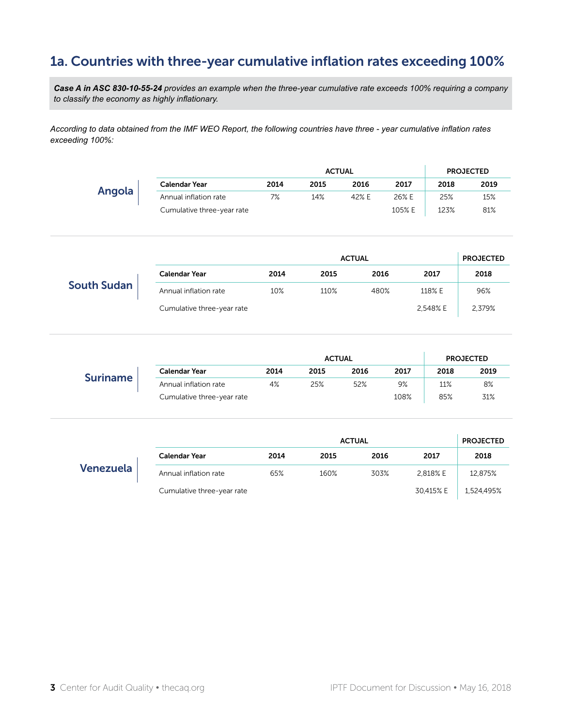# 1a. Countries with three-year cumulative inflation rates exceeding 100%

*Case A in ASC 830-10-55-24 provides an example when the three-year cumulative rate exceeds 100% requiring a company to classify the economy as highly inflationary.*

*According to data obtained from the IMF WEO Report, the following countries have three - year cumulative inflation rates exceeding 100%:*

|        |                            |      |      | <b>ACTUAL</b> |        |      | <b>PROJECTED</b> |
|--------|----------------------------|------|------|---------------|--------|------|------------------|
|        | <b>Calendar Year</b>       | 2014 | 2015 | 2016          | 2017   | 2018 | 2019             |
| Angola | Annual inflation rate      | 7%   | 14%  | 42% E         | 26% E  | 25%  | 15%              |
|        | Cumulative three-year rate |      |      |               | 105% E | 123% | 81%              |

|                    |                            |      | <b>ACTUAL</b> |      |          | <b>PROJECTED</b> |
|--------------------|----------------------------|------|---------------|------|----------|------------------|
|                    | <b>Calendar Year</b>       | 2014 | 2015          | 2016 | 2017     | 2018             |
| <b>South Sudan</b> | Annual inflation rate      | 10%  | 110%          | 480% | 118% E   | 96%              |
|                    | Cumulative three-year rate |      |               |      | 2,548% E | 2,379%           |

|                 |                            |      |      | <b>ACTUAL</b> |      |      | <b>PROJECTED</b> |
|-----------------|----------------------------|------|------|---------------|------|------|------------------|
|                 | <b>Calendar Year</b>       | 2014 | 2015 | 2016          | 2017 | 2018 | 2019             |
| <b>Suriname</b> | Annual inflation rate      | 4%   | 25%  | 52%           | 9%   | 11%  | 8%               |
|                 | Cumulative three-year rate |      |      |               | 108% | 85%  | 31%              |

|           |                            |      | <b>ACTUAL</b> |      |           | <b>PROJECTED</b> |
|-----------|----------------------------|------|---------------|------|-----------|------------------|
|           | <b>Calendar Year</b>       | 2014 | 2015          | 2016 | 2017      | 2018             |
| Venezuela | Annual inflation rate      | 65%  | 160%          | 303% | 2.818% E  | 12,875%          |
|           | Cumulative three-year rate |      |               |      | 30,415% E | 1,524,495%       |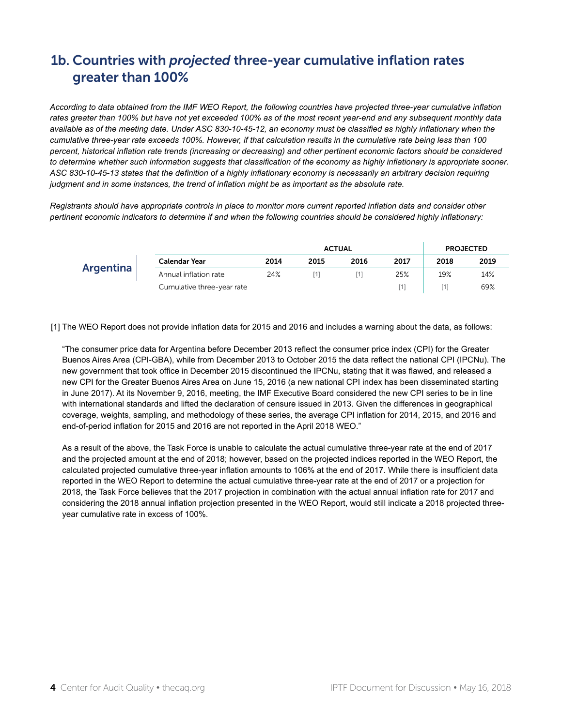# 1b. Countries with *projected* three-year cumulative inflation rates greater than 100%

*According to data obtained from the IMF WEO Report, the following countries have projected three-year cumulative inflation rates greater than 100% but have not yet exceeded 100% as of the most recent year-end and any subsequent monthly data available as of the meeting date. Under ASC 830-10-45-12, an economy must be classified as highly inflationary when the cumulative three-year rate exceeds 100%. However, if that calculation results in the cumulative rate being less than 100 percent, historical inflation rate trends (increasing or decreasing) and other pertinent economic factors should be considered to determine whether such information suggests that classification of the economy as highly inflationary is appropriate sooner. ASC 830-10-45-13 states that the definition of a highly inflationary economy is necessarily an arbitrary decision requiring judgment and in some instances, the trend of inflation might be as important as the absolute rate.* 

*Registrants should have appropriate controls in place to monitor more current reported inflation data and consider other pertinent economic indicators to determine if and when the following countries should be considered highly inflationary:*

|           |                            |      |      | <b>ACTUAL</b> |      |      | <b>PROJECTED</b> |
|-----------|----------------------------|------|------|---------------|------|------|------------------|
|           | <b>Calendar Year</b>       | 2014 | 2015 | 2016          | 2017 | 2018 | 2019             |
| Argentina | Annual inflation rate      | 24%  |      |               | 25%  | 19%  | 14%              |
|           | Cumulative three-year rate |      |      |               |      |      | 69%              |

[1] The WEO Report does not provide inflation data for 2015 and 2016 and includes a warning about the data, as follows:

"The consumer price data for Argentina before December 2013 reflect the consumer price index (CPI) for the Greater Buenos Aires Area (CPI-GBA), while from December 2013 to October 2015 the data reflect the national CPI (IPCNu). The new government that took office in December 2015 discontinued the IPCNu, stating that it was flawed, and released a new CPI for the Greater Buenos Aires Area on June 15, 2016 (a new national CPI index has been disseminated starting in June 2017). At its November 9, 2016, meeting, the IMF Executive Board considered the new CPI series to be in line with international standards and lifted the declaration of censure issued in 2013. Given the differences in geographical coverage, weights, sampling, and methodology of these series, the average CPI inflation for 2014, 2015, and 2016 and end-of-period inflation for 2015 and 2016 are not reported in the April 2018 WEO."

As a result of the above, the Task Force is unable to calculate the actual cumulative three-year rate at the end of 2017 and the projected amount at the end of 2018; however, based on the projected indices reported in the WEO Report, the calculated projected cumulative three-year inflation amounts to 106% at the end of 2017. While there is insufficient data reported in the WEO Report to determine the actual cumulative three-year rate at the end of 2017 or a projection for 2018, the Task Force believes that the 2017 projection in combination with the actual annual inflation rate for 2017 and considering the 2018 annual inflation projection presented in the WEO Report, would still indicate a 2018 projected threeyear cumulative rate in excess of 100%.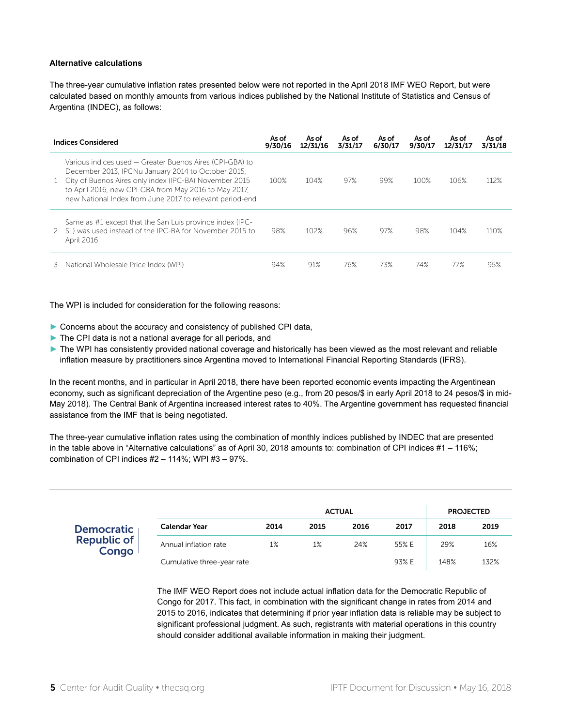#### **Alternative calculations**

The three-year cumulative inflation rates presented below were not reported in the April 2018 IMF WEO Report, but were calculated based on monthly amounts from various indices published by the National Institute of Statistics and Census of Argentina (INDEC), as follows:

|    | <b>Indices Considered</b>                                                                                                                                                                                                                                                                       | As of<br>9/30/16 | As of<br>12/31/16 | As of<br>3/31/17 | As of<br>6/30/17 | As of<br>9/30/17 | As of<br>12/31/17 | As of<br>3/31/18 |
|----|-------------------------------------------------------------------------------------------------------------------------------------------------------------------------------------------------------------------------------------------------------------------------------------------------|------------------|-------------------|------------------|------------------|------------------|-------------------|------------------|
|    | Various indices used – Greater Buenos Aires (CPI-GBA) to<br>December 2013, IPCNu January 2014 to October 2015,<br>1 City of Buenos Aires only index (IPC-BA) November 2015<br>to April 2016, new CPI-GBA from May 2016 to May 2017,<br>new National Index from June 2017 to relevant period-end | 100%             | 104%              | 97%              | 99%              | 100%             | 106%              | 112%             |
| 2  | Same as #1 except that the San Luis province index (IPC-<br>SL) was used instead of the IPC-BA for November 2015 to<br>April 2016                                                                                                                                                               | 98%              | 102%              | 96%              | 97%              | 98%              | 104%              | 110%             |
| 3. | National Wholesale Price Index (WPI)                                                                                                                                                                                                                                                            | 94%              | 91%               | 76%              | 73%              | 74%              | 77%               | 95%              |

The WPI is included for consideration for the following reasons:

- ► Concerns about the accuracy and consistency of published CPI data,
- ▶ The CPI data is not a national average for all periods, and
- ► The WPI has consistently provided national coverage and historically has been viewed as the most relevant and reliable inflation measure by practitioners since Argentina moved to International Financial Reporting Standards (IFRS).

In the recent months, and in particular in April 2018, there have been reported economic events impacting the Argentinean economy, such as significant depreciation of the Argentine peso (e.g., from 20 pesos/\$ in early April 2018 to 24 pesos/\$ in mid-May 2018). The Central Bank of Argentina increased interest rates to 40%. The Argentine government has requested financial assistance from the IMF that is being negotiated.

The three-year cumulative inflation rates using the combination of monthly indices published by INDEC that are presented in the table above in "Alternative calculations" as of April 30, 2018 amounts to: combination of CPI indices #1 – 116%; combination of CPI indices #2 – 114%; WPI #3 – 97%.

|                      |                            |      | <b>ACTUAL</b> |      |       |      | <b>PROJECTED</b> |
|----------------------|----------------------------|------|---------------|------|-------|------|------------------|
| <b>Democratic</b>    | Calendar Year              | 2014 | 2015          | 2016 | 2017  | 2018 | 2019             |
| Republic of<br>Congo | Annual inflation rate      | 1%   | 1%            | 24%  | 55% E | 29%  | 16%              |
|                      | Cumulative three-year rate |      |               |      | 93% E | 148% | 132%             |

The IMF WEO Report does not include actual inflation data for the Democratic Republic of Congo for 2017. This fact, in combination with the significant change in rates from 2014 and 2015 to 2016, indicates that determining if prior year inflation data is reliable may be subject to significant professional judgment. As such, registrants with material operations in this country should consider additional available information in making their judgment.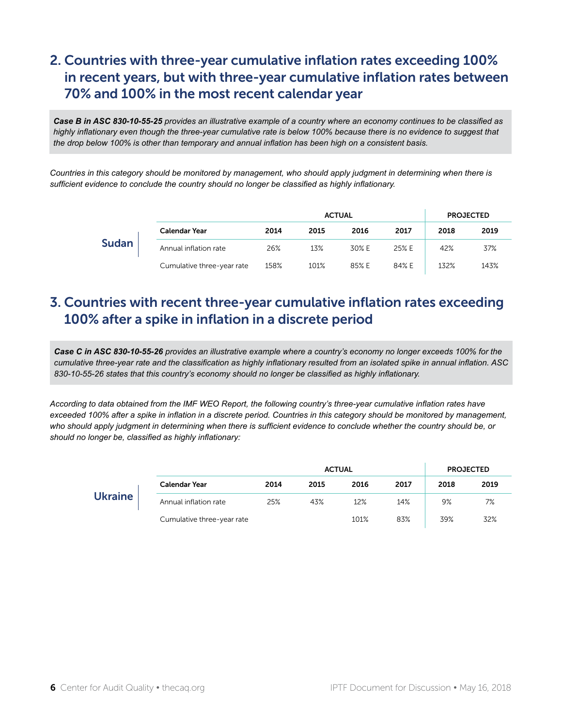# 2. Countries with three-year cumulative inflation rates exceeding 100% in recent years, but with three-year cumulative inflation rates between 70% and 100% in the most recent calendar year

*Case B in ASC 830-10-55-25 provides an illustrative example of a country where an economy continues to be classified as highly inflationary even though the three-year cumulative rate is below 100% because there is no evidence to suggest that the drop below 100% is other than temporary and annual inflation has been high on a consistent basis.*

*Countries in this category should be monitored by management, who should apply judgment in determining when there is sufficient evidence to conclude the country should no longer be classified as highly inflationary.*

|              |                            |      |      | <b>ACTUAL</b> |       |      | <b>PROJECTED</b> |
|--------------|----------------------------|------|------|---------------|-------|------|------------------|
|              | <b>Calendar Year</b>       | 2014 | 2015 | 2016          | 2017  | 2018 | 2019             |
| <b>Sudan</b> | Annual inflation rate      | 26%  | 13%  | 30% E         | 25% E | 42%  | 37%              |
|              | Cumulative three-year rate | 158% | 101% | 85% E         | 84% E | 132% | 143%             |

### 3. Countries with recent three-year cumulative inflation rates exceeding 100% after a spike in inflation in a discrete period

*Case C in ASC 830-10-55-26 provides an illustrative example where a country's economy no longer exceeds 100% for the cumulative three-year rate and the classification as highly inflationary resulted from an isolated spike in annual inflation. ASC 830-10-55-26 states that this country's economy should no longer be classified as highly inflationary.*

*According to data obtained from the IMF WEO Report, the following country's three-year cumulative inflation rates have*  exceeded 100% after a spike in inflation in a discrete period. Countries in this category should be monitored by management, *who should apply judgment in determining when there is sufficient evidence to conclude whether the country should be, or should no longer be, classified as highly inflationary:*

|                |                            |      | <b>ACTUAL</b> |      | <b>PROJECTED</b> |      |      |
|----------------|----------------------------|------|---------------|------|------------------|------|------|
|                | <b>Calendar Year</b>       | 2014 | 2015          | 2016 | 2017             | 2018 | 2019 |
| <b>Ukraine</b> | Annual inflation rate      | 25%  | 43%           | 12%  | 14%              | 9%   | 7%   |
|                | Cumulative three-year rate |      |               | 101% | 83%              | 39%  | 32%  |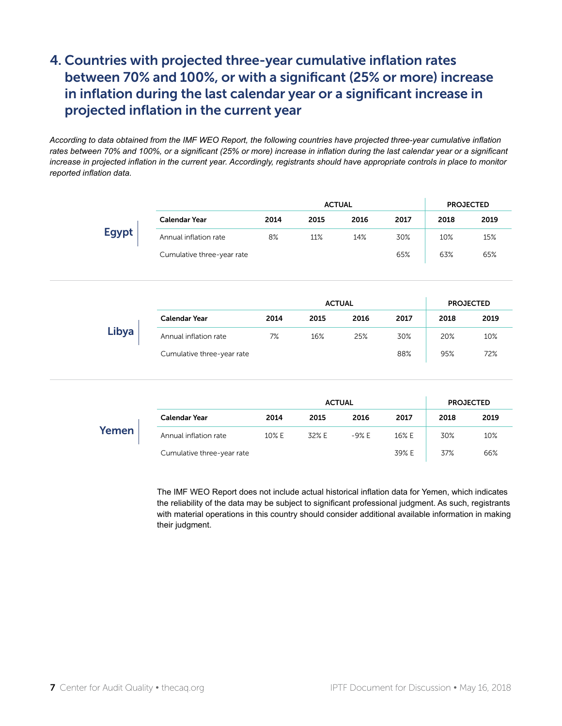# 4. Countries with projected three-year cumulative inflation rates between 70% and 100%, or with a significant (25% or more) increase in inflation during the last calendar year or a significant increase in projected inflation in the current year

*According to data obtained from the IMF WEO Report, the following countries have projected three-year cumulative inflation rates between 70% and 100%, or a significant (25% or more) increase in inflation during the last calendar year or a significant increase in projected inflation in the current year. Accordingly, registrants should have appropriate controls in place to monitor reported inflation data.*

|              | <b>ACTUAL</b>              |      |      |               |      | <b>PROJECTED</b> |                  |  |
|--------------|----------------------------|------|------|---------------|------|------------------|------------------|--|
|              | <b>Calendar Year</b>       | 2014 | 2015 | 2016          | 2017 | 2018             | 2019             |  |
| <b>Egypt</b> | Annual inflation rate      | 8%   | 11%  | 14%           | 30%  | 10%              | 15%              |  |
|              | Cumulative three-year rate |      |      |               | 65%  | 63%              | 65%              |  |
|              |                            |      |      |               |      |                  |                  |  |
|              |                            |      |      |               |      |                  |                  |  |
|              |                            |      |      | <b>ACTUAL</b> |      |                  | <b>PROJECTED</b> |  |
|              | <b>Calendar Year</b>       | 2014 | 2015 | 2016          | 2017 | 2018             | 2019             |  |
| Libya        | Annual inflation rate      | 7%   | 16%  | 25%           | 30%  | 20%              | 10%              |  |
|              | Cumulative three-year rate |      |      |               | 88%  | 95%              | 72%              |  |

|       |                            |       | <b>ACTUAL</b> |         |       |      | <b>PROJECTED</b> |
|-------|----------------------------|-------|---------------|---------|-------|------|------------------|
|       | <b>Calendar Year</b>       | 2014  | 2015          | 2016    | 2017  | 2018 | 2019             |
| Yemen | Annual inflation rate      | 10% E | 32% E         | $-9% E$ | 16% E | 30%  | 10%              |
|       | Cumulative three-year rate |       |               |         | 39% E | 37%  | 66%              |

The IMF WEO Report does not include actual historical inflation data for Yemen, which indicates the reliability of the data may be subject to significant professional judgment. As such, registrants with material operations in this country should consider additional available information in making their judgment.